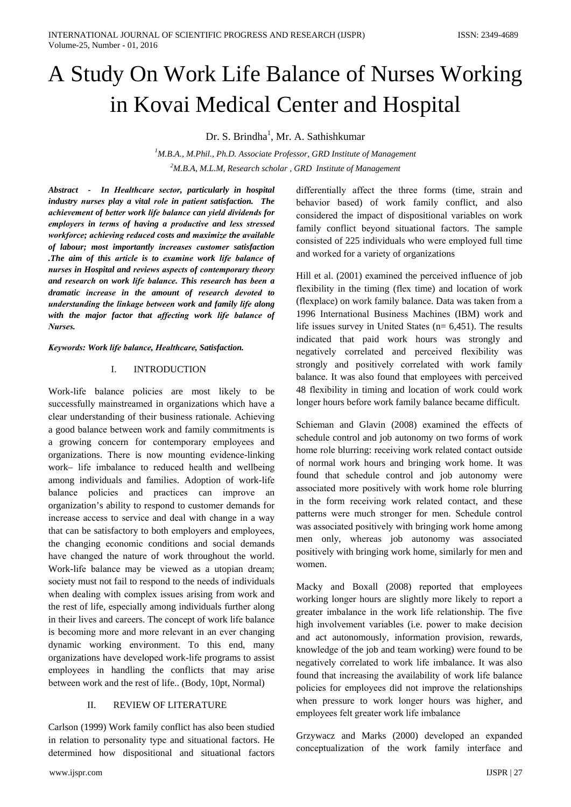# A Study On Work Life Balance of Nurses Working in Kovai Medical Center and Hospital

Dr. S. Brindha<sup>1</sup>, Mr. A. Sathishkumar

 ${}^{1}M.B.A., M. Phil., Ph.D. Associated Professor, GRD Institute of Management$  $2^2$ M.B.A, M.L.M, Research scholar, GRD Institute of Management

Abstract - In Healthcare sector, particularly in hospital industry nurses play a vital role in patient satisfaction. The achievement of better work life balance can vield dividends for employers in terms of having a productive and less stressed workforce; achieving reduced costs and maximize the available of labour; most importantly increases customer satisfaction The aim of this article is to examine work life balance of nurses in Hospital and reviews aspects of contemporary theory and research on work life balance. This research has been a dramatic increase in the amount of research devoted to understanding the linkage between work and family life along with the major factor that affecting work life balance of Nurses.

Keywords: Work life balance, Healthcare, Satisfaction.

#### I. **INTRODUCTION**

Work-life balance policies are most likely to be successfully mainstreamed in organizations which have a clear understanding of their business rationale. Achieving a good balance between work and family commitments is a growing concern for contemporary employees and organizations. There is now mounting evidence-linking work- life imbalance to reduced health and wellbeing among individuals and families. Adoption of work-life balance policies and practices can improve an organization's ability to respond to customer demands for increase access to service and deal with change in a way that can be satisfactory to both employers and employees, the changing economic conditions and social demands have changed the nature of work throughout the world. Work-life balance may be viewed as a utopian dream; society must not fail to respond to the needs of individuals when dealing with complex issues arising from work and the rest of life, especially among individuals further along in their lives and careers. The concept of work life balance is becoming more and more relevant in an ever changing dynamic working environment. To this end, many organizations have developed work-life programs to assist employees in handling the conflicts that may arise between work and the rest of life.. (Body, 10pt, Normal)

#### II. **REVIEW OF LITERATURE**

Carlson (1999) Work family conflict has also been studied in relation to personality type and situational factors. He determined how dispositional and situational factors differentially affect the three forms (time, strain and behavior based) of work family conflict, and also considered the impact of dispositional variables on work family conflict beyond situational factors. The sample consisted of 225 individuals who were employed full time and worked for a variety of organizations

Hill et al. (2001) examined the perceived influence of job flexibility in the timing (flex time) and location of work (flexplace) on work family balance. Data was taken from a 1996 International Business Machines (IBM) work and life issues survey in United States ( $n = 6,451$ ). The results indicated that paid work hours was strongly and negatively correlated and perceived flexibility was strongly and positively correlated with work family balance. It was also found that employees with perceived 48 flexibility in timing and location of work could work longer hours before work family balance became difficult.

Schieman and Glavin (2008) examined the effects of schedule control and job autonomy on two forms of work home role blurring: receiving work related contact outside of normal work hours and bringing work home. It was found that schedule control and job autonomy were associated more positively with work home role blurring in the form receiving work related contact, and these patterns were much stronger for men. Schedule control was associated positively with bringing work home among men only, whereas job autonomy was associated positively with bringing work home, similarly for men and women.

Macky and Boxall (2008) reported that employees working longer hours are slightly more likely to report a greater imbalance in the work life relationship. The five high involvement variables (i.e. power to make decision and act autonomously, information provision, rewards, knowledge of the job and team working) were found to be negatively correlated to work life imbalance. It was also found that increasing the availability of work life balance policies for employees did not improve the relationships when pressure to work longer hours was higher, and employees felt greater work life imbalance

Grzywacz and Marks (2000) developed an expanded conceptualization of the work family interface and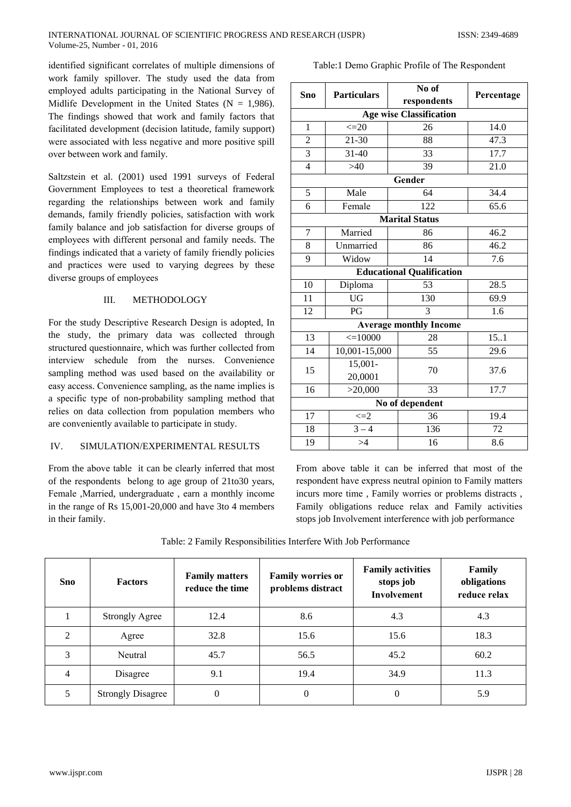identified significant correlates of multiple dimensions of work family spillover. The study used the data from employed adults participating in the National Survey of Midlife Development in the United States ( $N = 1,986$ ). The findings showed that work and family factors that facilitated development (decision latitude, family support) were associated with less negative and more positive spill over between work and family.

Saltzstein et al. (2001) used 1991 surveys of Federal Government Employees to test a theoretical framework regarding the relationships between work and family demands, family friendly policies, satisfaction with work family balance and job satisfaction for diverse groups of employees with different personal and family needs. The findings indicated that a variety of family friendly policies and practices were used to varying degrees by these diverse groups of employees

#### $III$ **METHODOLOGY**

For the study Descriptive Research Design is adopted. In the study, the primary data was collected through structured questionnaire, which was further collected from interview schedule from the nurses. Convenience sampling method was used based on the availability or easy access. Convenience sampling, as the name implies is a specific type of non-probability sampling method that relies on data collection from population members who are conveniently available to participate in study.

#### IV. SIMULATION/EXPERIMENTAL RESULTS

From the above table it can be clearly inferred that most of the respondents belong to age group of 21to30 years, Female , Married, undergraduate, earn a monthly income in the range of Rs 15,001-20,000 and have 3to 4 members in their family.

### Table:1 Demo Graphic Profile of The Respondent

|                                |                       | No of                            |            |  |  |  |
|--------------------------------|-----------------------|----------------------------------|------------|--|--|--|
| <b>Sno</b>                     | <b>Particulars</b>    | respondents                      | Percentage |  |  |  |
| <b>Age wise Classification</b> |                       |                                  |            |  |  |  |
| $\mathbf{1}$                   | $\leq 20$             | 26                               | 14.0       |  |  |  |
| $\overline{c}$                 | $21 - 30$             | 88                               | 47.3       |  |  |  |
| $\overline{3}$                 | $31 - 40$             | 33                               | 17.7       |  |  |  |
| $\overline{4}$                 | $>40$                 | 39                               | 21.0       |  |  |  |
|                                |                       | Gender                           |            |  |  |  |
| $\overline{5}$                 | Male                  | 64                               | 34.4       |  |  |  |
| 6                              | Female                | 122                              | 65.6       |  |  |  |
|                                |                       | <b>Marital Status</b>            |            |  |  |  |
| $\overline{7}$                 | Married               | 86                               | 46.2       |  |  |  |
| 8                              | Unmarried             | 86                               | 46.2       |  |  |  |
| 9                              | Widow                 | 14                               | 7.6        |  |  |  |
|                                |                       | <b>Educational Qualification</b> |            |  |  |  |
| 10                             | 53<br>28.5<br>Diploma |                                  |            |  |  |  |
| 11                             | <b>UG</b>             | 130                              | 69.9       |  |  |  |
| 12                             | PG                    | 3                                | 1.6        |  |  |  |
|                                |                       | <b>Average monthly Income</b>    |            |  |  |  |
| 13                             | $\leq 10000$          | 28                               | 15.1       |  |  |  |
| 14                             | 10,001-15,000         | 55                               | 29.6       |  |  |  |
| 15                             | 15,001-               | 70                               | 37.6       |  |  |  |
|                                | 20,0001               |                                  |            |  |  |  |
| 16                             | >20,000               | 33                               | 17.7       |  |  |  |
| No of dependent                |                       |                                  |            |  |  |  |
| 17                             | $\leq=2$              | 36                               | 19.4       |  |  |  |
| 18                             | $\overline{3} - 4$    | 136                              | 72         |  |  |  |
| 19                             | >4                    | 16                               | 8.6        |  |  |  |

From above table it can be inferred that most of the respondent have express neutral opinion to Family matters incurs more time, Family worries or problems distracts, Family obligations reduce relax and Family activities stops job Involvement interference with job performance

Table: 2 Family Responsibilities Interfere With Job Performance

| <b>Sno</b>    | <b>Factors</b>           | <b>Family matters</b><br>reduce the time | <b>Family worries or</b><br>problems distract | <b>Family activities</b><br>stops job<br>Involvement | <b>Family</b><br>obligations<br>reduce relax |
|---------------|--------------------------|------------------------------------------|-----------------------------------------------|------------------------------------------------------|----------------------------------------------|
|               | <b>Strongly Agree</b>    | 12.4                                     | 8.6                                           | 4.3                                                  | 4.3                                          |
| $\mathcal{D}$ | Agree                    | 32.8                                     | 15.6                                          | 15.6                                                 | 18.3                                         |
| 3             | Neutral                  | 45.7                                     | 56.5                                          | 45.2                                                 | 60.2                                         |
| 4             | Disagree                 | 9.1                                      | 19.4                                          | 34.9                                                 | 11.3                                         |
| 5             | <b>Strongly Disagree</b> | $\theta$                                 | $\overline{0}$                                | $\theta$                                             | 5.9                                          |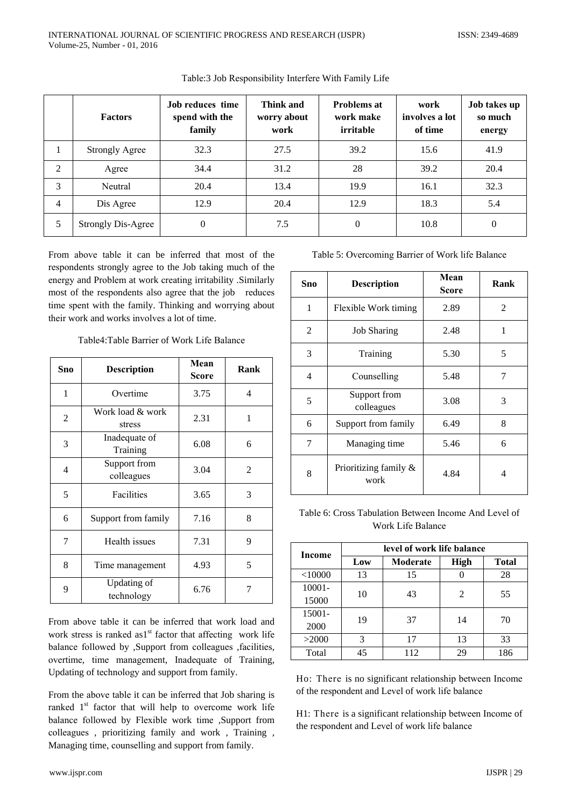|   | <b>Factors</b>            | <b>Job reduces time</b><br>spend with the<br>family | Think and<br>worry about<br>work | <b>Problems at</b><br>work make<br>irritable | work<br>involves a lot<br>of time | Job takes up<br>so much<br>energy |
|---|---------------------------|-----------------------------------------------------|----------------------------------|----------------------------------------------|-----------------------------------|-----------------------------------|
|   | <b>Strongly Agree</b>     | 32.3                                                | 27.5                             | 39.2                                         | 15.6                              | 41.9                              |
| 2 | Agree                     | 34.4                                                | 31.2                             | 28                                           | 39.2                              | 20.4                              |
| 3 | Neutral                   | 20.4                                                | 13.4                             | 19.9                                         | 16.1                              | 32.3                              |
| 4 | Dis Agree                 | 12.9                                                | 20.4                             | 12.9                                         | 18.3                              | 5.4                               |
| 5 | <b>Strongly Dis-Agree</b> | $\theta$                                            | 7.5                              | $\mathbf{0}$                                 | 10.8                              | $\mathbf{0}$                      |

Table:3 Job Responsibility Interfere With Family Life

From above table it can be inferred that most of the respondents strongly agree to the Job taking much of the energy and Problem at work creating irritability .Similarly most of the respondents also agree that the job reduces time spent with the family. Thinking and worrying about their work and works involves a lot of time.

| Sno | <b>Description</b>         | Mean<br><b>Score</b> | Rank |
|-----|----------------------------|----------------------|------|
| 1   | Overtime                   | 3.75                 | 4    |
| 2   | Work load & work<br>stress | 2.31                 | 1    |
| 3   | Inadequate of<br>Training  | 6.08                 | 6    |
| 4   | Support from<br>colleagues | 3.04                 | 2    |
| 5   | Facilities                 | 3.65                 | 3    |
| 6   | Support from family        | 7.16                 | 8    |
| 7   | Health issues              | 7.31                 | 9    |
| 8   | Time management            | 4.93                 | 5    |
| 9   | Updating of<br>technology  | 6.76                 | 7    |

Table4: Table Barrier of Work Life Balance

From above table it can be inferred that work load and work stress is ranked as1<sup>st</sup> factor that affecting work life balance followed by ,Support from colleagues ,facilities, overtime, time management, Inadequate of Training, Updating of technology and support from family.

From the above table it can be inferred that Job sharing is ranked 1<sup>st</sup> factor that will help to overcome work life balance followed by Flexible work time ,Support from colleagues, prioritizing family and work, Training, Managing time, counselling and support from family.

www.ijspr.com

Table 5: Overcoming Barrier of Work life Balance

| Sno | <b>Description</b>               | Mean<br>Score | Rank |
|-----|----------------------------------|---------------|------|
| 1   | Flexible Work timing             | 2.89          | 2    |
| 2   | <b>Job Sharing</b>               | 2.48          | 1    |
| 3   | Training                         | 5.30          | 5    |
| 4   | Counselling                      | 5.48          | 7    |
| 5   | Support from<br>colleagues       | 3.08          | 3    |
| 6   | Support from family              | 6.49          | 8    |
| 7   | Managing time                    | 5.46          | 6    |
| 8   | Prioritizing family $\&$<br>work | 4.84          | 4    |

Table 6: Cross Tabulation Between Income And Level of Work Life Balance

| <b>Income</b> | level of work life balance |          |             |              |  |  |
|---------------|----------------------------|----------|-------------|--------------|--|--|
|               | Low                        | Moderate | <b>High</b> | <b>Total</b> |  |  |
| $<$ 10000     | 13                         | 15       |             | 28           |  |  |
| $10001 -$     | 10                         | 43       | 2           | 55           |  |  |
| 15000         |                            |          |             |              |  |  |
| 15001-        | 19                         | 37       | 14          | 70           |  |  |
| 2000          |                            |          |             |              |  |  |
| >2000         | 3                          | 17       | 13          | 33           |  |  |
| Total         | 45                         | 112      | 29          | 186          |  |  |

Ho: There is no significant relationship between Income of the respondent and Level of work life balance

H1: There is a significant relationship between Income of the respondent and Level of work life balance